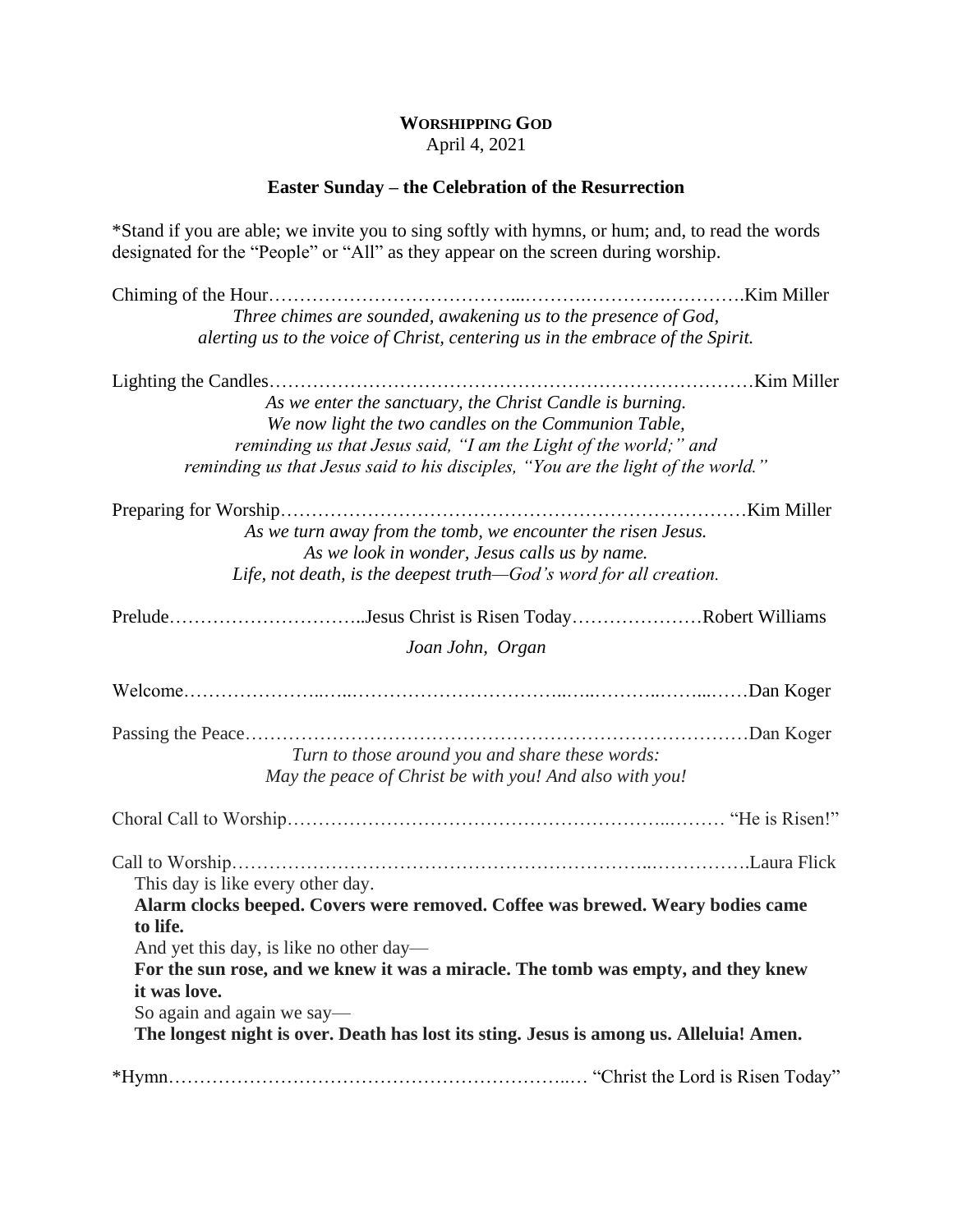## **WORSHIPPING GOD** April 4, 2021

## **Easter Sunday – the Celebration of the Resurrection**

\*Stand if you are able; we invite you to sing softly with hymns, or hum; and, to read the words designated for the "People" or "All" as they appear on the screen during worship.

| Three chimes are sounded, awakening us to the presence of God,                                                        |
|-----------------------------------------------------------------------------------------------------------------------|
| alerting us to the voice of Christ, centering us in the embrace of the Spirit.                                        |
|                                                                                                                       |
| As we enter the sanctuary, the Christ Candle is burning.                                                              |
| We now light the two candles on the Communion Table,                                                                  |
| reminding us that Jesus said, "I am the Light of the world;" and                                                      |
| reminding us that Jesus said to his disciples, "You are the light of the world."                                      |
|                                                                                                                       |
| As we turn away from the tomb, we encounter the risen Jesus.                                                          |
| As we look in wonder, Jesus calls us by name.                                                                         |
| Life, not death, is the deepest truth-God's word for all creation.                                                    |
|                                                                                                                       |
| Joan John, Organ                                                                                                      |
|                                                                                                                       |
|                                                                                                                       |
| Turn to those around you and share these words:                                                                       |
| May the peace of Christ be with you! And also with you!                                                               |
|                                                                                                                       |
|                                                                                                                       |
| This day is like every other day.                                                                                     |
| Alarm clocks beeped. Covers were removed. Coffee was brewed. Weary bodies came                                        |
| to life.                                                                                                              |
| And yet this day, is like no other day—                                                                               |
| For the sun rose, and we knew it was a miracle. The tomb was empty, and they knew                                     |
| it was love.                                                                                                          |
|                                                                                                                       |
| So again and again we say—<br>The longest night is over. Death has lost its sting. Jesus is among us. Alleluia! Amen. |
|                                                                                                                       |
|                                                                                                                       |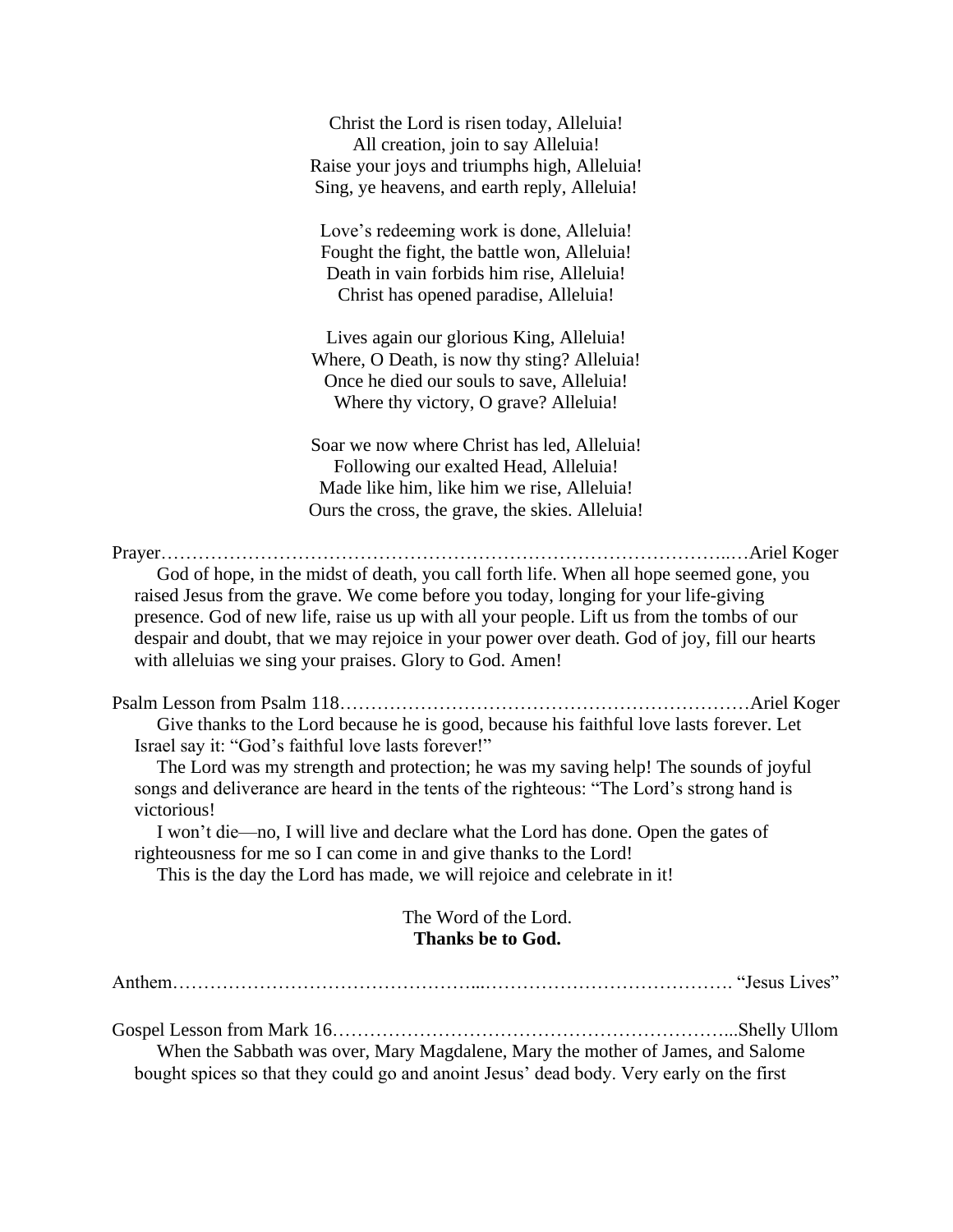Christ the Lord is risen today, Alleluia! All creation, join to say Alleluia! Raise your joys and triumphs high, Alleluia! Sing, ye heavens, and earth reply, Alleluia!

Love's redeeming work is done, Alleluia! Fought the fight, the battle won, Alleluia! Death in vain forbids him rise, Alleluia! Christ has opened paradise, Alleluia!

Lives again our glorious King, Alleluia! Where, O Death, is now thy sting? Alleluia! Once he died our souls to save, Alleluia! Where thy victory, O grave? Alleluia!

Soar we now where Christ has led, Alleluia! Following our exalted Head, Alleluia! Made like him, like him we rise, Alleluia! Ours the cross, the grave, the skies. Alleluia!

Prayer………………………………………………………………………………..…Ariel Koger

God of hope, in the midst of death, you call forth life. When all hope seemed gone, you raised Jesus from the grave. We come before you today, longing for your life-giving presence. God of new life, raise us up with all your people. Lift us from the tombs of our despair and doubt, that we may rejoice in your power over death. God of joy, fill our hearts with alleluias we sing your praises. Glory to God. Amen!

Psalm Lesson from Psalm 118…………………………………………………………Ariel Koger Give thanks to the Lord because he is good, because his faithful love lasts forever. Let Israel say it: "God's faithful love lasts forever!"

The Lord was my strength and protection; he was my saving help! The sounds of joyful songs and deliverance are heard in the tents of the righteous: "The Lord's strong hand is victorious!

I won't die—no, I will live and declare what the Lord has done. Open the gates of righteousness for me so I can come in and give thanks to the Lord!

This is the day the Lord has made, we will rejoice and celebrate in it!

## The Word of the Lord. **Thanks be to God.**

Anthem…………………………………………...…………………………………. "Jesus Lives"

Gospel Lesson from Mark 16………………………………………………………...Shelly Ullom When the Sabbath was over, Mary Magdalene, Mary the mother of James, and Salome bought spices so that they could go and anoint Jesus' dead body. Very early on the first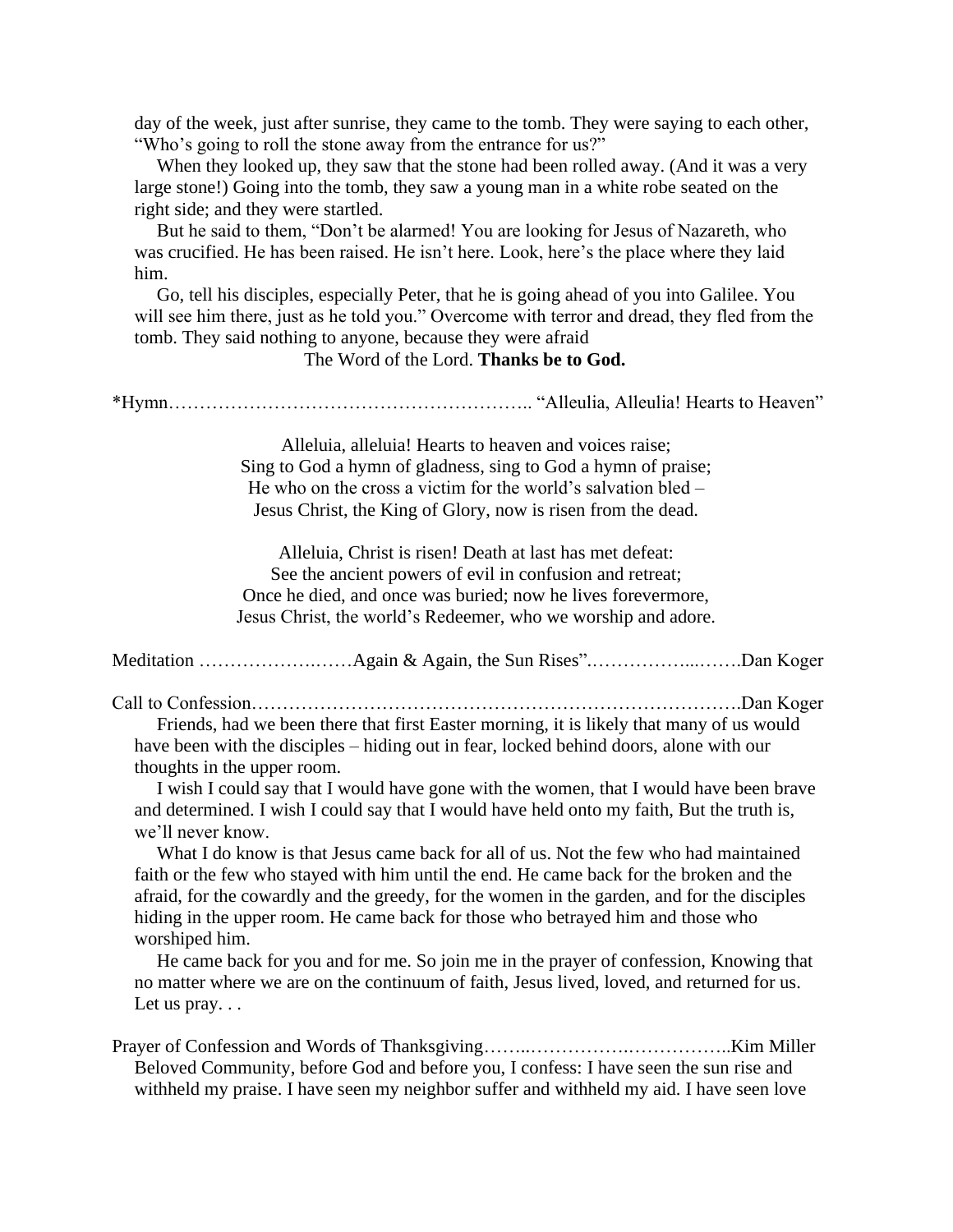day of the week, just after sunrise, they came to the tomb. They were saying to each other, "Who's going to roll the stone away from the entrance for us?"

When they looked up, they saw that the stone had been rolled away. (And it was a very large stone!) Going into the tomb, they saw a young man in a white robe seated on the right side; and they were startled.

But he said to them, "Don't be alarmed! You are looking for Jesus of Nazareth, who was crucified. He has been raised. He isn't here. Look, here's the place where they laid him.

Go, tell his disciples, especially Peter, that he is going ahead of you into Galilee. You will see him there, just as he told you." Overcome with terror and dread, they fled from the tomb. They said nothing to anyone, because they were afraid

The Word of the Lord. **Thanks be to God.**

\*Hymn………………………………………………….. "Alleulia, Alleulia! Hearts to Heaven"

Alleluia, alleluia! Hearts to heaven and voices raise; Sing to God a hymn of gladness, sing to God a hymn of praise; He who on the cross a victim for the world's salvation bled – Jesus Christ, the King of Glory, now is risen from the dead.

Alleluia, Christ is risen! Death at last has met defeat: See the ancient powers of evil in confusion and retreat; Once he died, and once was buried; now he lives forevermore, Jesus Christ, the world's Redeemer, who we worship and adore.

Meditation ……………….……Again & Again, the Sun Rises".……………...…….Dan Koger

Call to Confession…………………………………………………………………….Dan Koger Friends, had we been there that first Easter morning, it is likely that many of us would have been with the disciples – hiding out in fear, locked behind doors, alone with our thoughts in the upper room.

I wish I could say that I would have gone with the women, that I would have been brave and determined. I wish I could say that I would have held onto my faith, But the truth is, we'll never know.

What I do know is that Jesus came back for all of us. Not the few who had maintained faith or the few who stayed with him until the end. He came back for the broken and the afraid, for the cowardly and the greedy, for the women in the garden, and for the disciples hiding in the upper room. He came back for those who betrayed him and those who worshiped him.

He came back for you and for me. So join me in the prayer of confession, Knowing that no matter where we are on the continuum of faith, Jesus lived, loved, and returned for us. Let us pray...

Prayer of Confession and Words of Thanksgiving……..…………….……………..Kim Miller Beloved Community, before God and before you, I confess: I have seen the sun rise and withheld my praise. I have seen my neighbor suffer and withheld my aid. I have seen love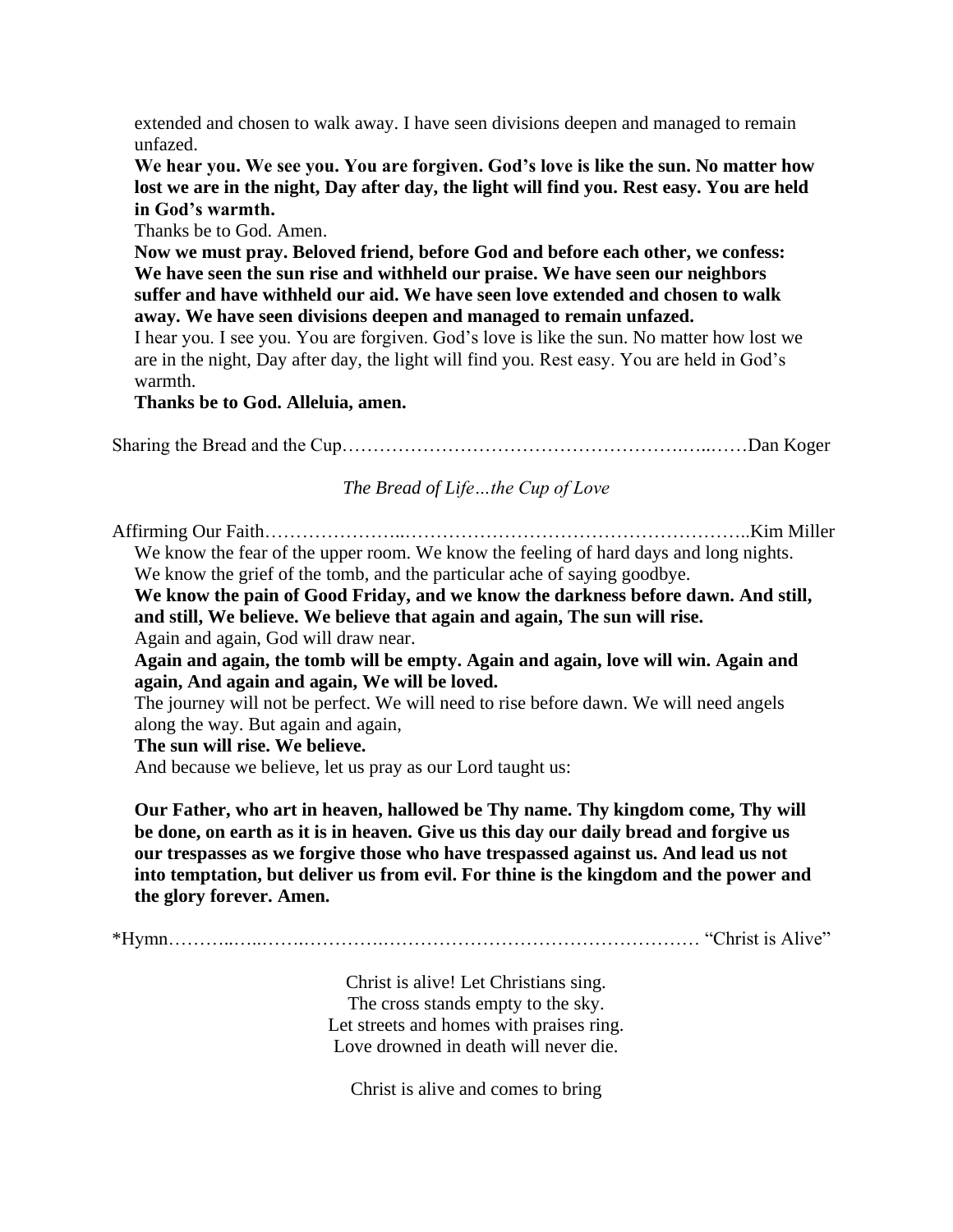extended and chosen to walk away. I have seen divisions deepen and managed to remain unfazed.

**We hear you. We see you. You are forgiven. God's love is like the sun. No matter how lost we are in the night, Day after day, the light will find you. Rest easy. You are held in God's warmth.**

Thanks be to God. Amen.

**Now we must pray. Beloved friend, before God and before each other, we confess: We have seen the sun rise and withheld our praise. We have seen our neighbors suffer and have withheld our aid. We have seen love extended and chosen to walk away. We have seen divisions deepen and managed to remain unfazed.**

I hear you. I see you. You are forgiven. God's love is like the sun. No matter how lost we are in the night, Day after day, the light will find you. Rest easy. You are held in God's warmth.

**Thanks be to God. Alleluia, amen.**

Sharing the Bread and the Cup……………………………………………….…..……Dan Koger

*The Bread of Life…the Cup of Love*

Affirming Our Faith…………………..………………………………………………..Kim Miller We know the fear of the upper room. We know the feeling of hard days and long nights. We know the grief of the tomb, and the particular ache of saying goodbye.

**We know the pain of Good Friday, and we know the darkness before dawn. And still, and still, We believe. We believe that again and again, The sun will rise.**

Again and again, God will draw near.

**Again and again, the tomb will be empty. Again and again, love will win. Again and again, And again and again, We will be loved.**

The journey will not be perfect. We will need to rise before dawn. We will need angels along the way. But again and again,

**The sun will rise. We believe.** 

And because we believe, let us pray as our Lord taught us:

**Our Father, who art in heaven, hallowed be Thy name. Thy kingdom come, Thy will be done, on earth as it is in heaven. Give us this day our daily bread and forgive us our trespasses as we forgive those who have trespassed against us. And lead us not into temptation, but deliver us from evil. For thine is the kingdom and the power and the glory forever. Amen.**

\*Hymn………..…..…….………….…………………………………………… "Christ is Alive"

Christ is alive! Let Christians sing. The cross stands empty to the sky. Let streets and homes with praises ring. Love drowned in death will never die.

Christ is alive and comes to bring